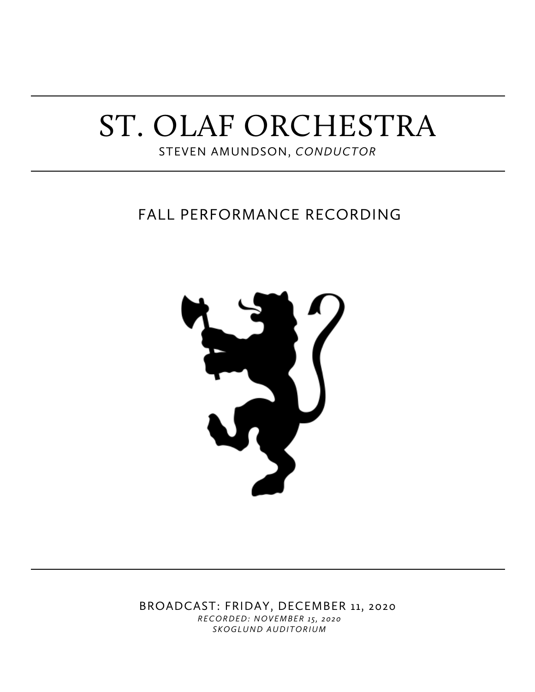# ST. OLAF ORCHESTRA

STEVEN AMUNDSON, *CONDUCTOR*

# FALL PERFORMANCE RECORDING



BROADCAST: FRIDAY, DECEMBER 11, 2020 *RECORDED: NOVEMBER 15, 2020 SKOGLUND AUDITORIUM*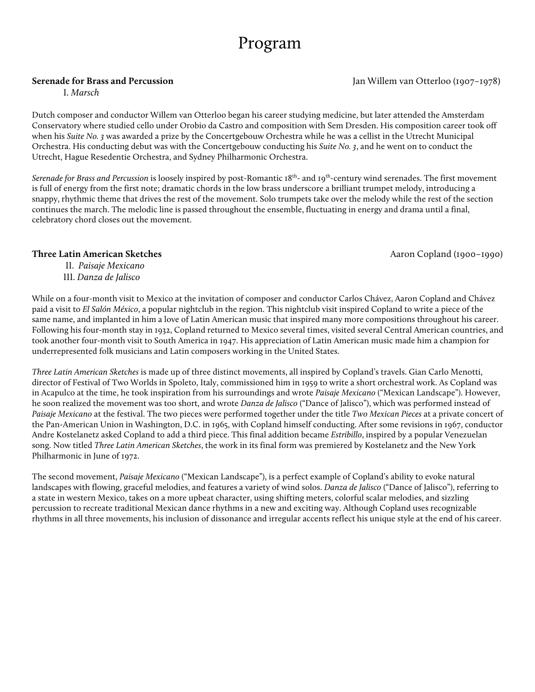# Program

I. *Marsch*

Dutch composer and conductor Willem van Otterloo began his career studying medicine, but later attended the Amsterdam Conservatory where studied cello under Orobio da Castro and composition with Sem Dresden. His composition career took off when his *Suite No. 3* was awarded a prize by the Concertgebouw Orchestra while he was a cellist in the Utrecht Municipal Orchestra. His conducting debut was with the Concertgebouw conducting his *Suite No. 3*, and he went on to conduct the Utrecht, Hague Resedentie Orchestra, and Sydney Philharmonic Orchestra.

*Serenade for Brass and Percussion* is loosely inspired by post-Romantic 18th- and 19th-century wind serenades. The first movement is full of energy from the first note; dramatic chords in the low brass underscore a brilliant trumpet melody, introducing a snappy, rhythmic theme that drives the rest of the movement. Solo trumpets take over the melody while the rest of the section continues the march. The melodic line is passed throughout the ensemble, fluctuating in energy and drama until a final, celebratory chord closes out the movement.

### **Three Latin American Sketches** Aaron Copland (1900–1990)

II. *Paisaje Mexicano* III. *Danza de Jalisco*

While on a four-month visit to Mexico at the invitation of composer and conductor Carlos Chávez, Aaron Copland and Chávez paid a visit to *El Salón México*, a popular nightclub in the region. This nightclub visit inspired Copland to write a piece of the same name, and implanted in him a love of Latin American music that inspired many more compositions throughout his career. Following his four-month stay in 1932, Copland returned to Mexico several times, visited several Central American countries, and took another four-month visit to South America in 1947. His appreciation of Latin American music made him a champion for underrepresented folk musicians and Latin composers working in the United States.

*Three Latin American Sketches* is made up of three distinct movements, all inspired by Copland's travels. Gian Carlo Menotti, director of Festival of Two Worlds in Spoleto, Italy, commissioned him in 1959 to write a short orchestral work. As Copland was in Acapulco at the time, he took inspiration from his surroundings and wrote *Paisaje Mexicano* ("Mexican Landscape"). However, he soon realized the movement was too short, and wrote *Danza de Jalisco* ("Dance of Jalisco"), which was performed instead of *Paisaje Mexicano* at the festival. The two pieces were performed together under the title *Two Mexican Pieces* at a private concert of the Pan-American Union in Washington, D.C. in 1965, with Copland himself conducting. After some revisions in 1967, conductor Andre Kostelanetz asked Copland to add a third piece. This final addition became *Estribillo*, inspired by a popular Venezuelan song. Now titled *Three Latin American Sketches*, the work in its final form was premiered by Kostelanetz and the New York Philharmonic in June of 1972.

The second movement, *Paisaje Mexicano* ("Mexican Landscape"), is a perfect example of Copland's ability to evoke natural landscapes with flowing, graceful melodies, and features a variety of wind solos. *Danza de Jalisco* ("Dance of Jalisco"), referring to a state in western Mexico, takes on a more upbeat character, using shifting meters, colorful scalar melodies, and sizzling percussion to recreate traditional Mexican dance rhythms in a new and exciting way. Although Copland uses recognizable rhythms in all three movements, his inclusion of dissonance and irregular accents reflect his unique style at the end of his career.

**Serenade for Brass and Percussion** Jan Willem van Otterloo (1907–1978)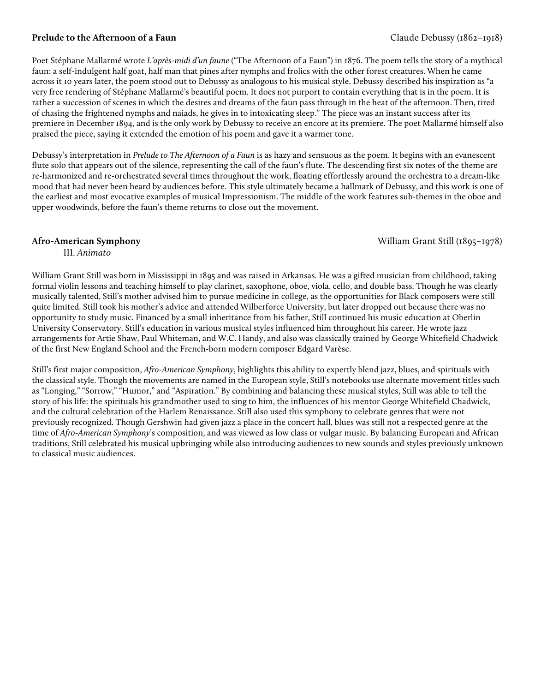## **Prelude to the Afternoon of a Faun Claude Debussy (1862–1918)**

Poet Stéphane Mallarmé wrote *L'après-midi d'un faune* ("The Afternoon of a Faun") in 1876. The poem tells the story of a mythical faun: a self-indulgent half goat, half man that pines after nymphs and frolics with the other forest creatures. When he came across it 10 years later, the poem stood out to Debussy as analogous to his musical style. Debussy described his inspiration as "a very free rendering of Stéphane Mallarmé's beautiful poem. It does not purport to contain everything that is in the poem. It is rather a succession of scenes in which the desires and dreams of the faun pass through in the heat of the afternoon. Then, tired of chasing the frightened nymphs and naiads, he gives in to intoxicating sleep." The piece was an instant success after its premiere in December 1894, and is the only work by Debussy to receive an encore at its premiere. The poet Mallarmé himself also praised the piece, saying it extended the emotion of his poem and gave it a warmer tone.

Debussy's interpretation in *Prelude to The Afternoon of a Faun* is as hazy and sensuous as the poem. It begins with an evanescent flute solo that appears out of the silence, representing the call of the faun's flute. The descending first six notes of the theme are re-harmonized and re-orchestrated several times throughout the work, floating effortlessly around the orchestra to a dream-like mood that had never been heard by audiences before. This style ultimately became a hallmark of Debussy, and this work is one of the earliest and most evocative examples of musical Impressionism. The middle of the work features sub-themes in the oboe and upper woodwinds, before the faun's theme returns to close out the movement.

**Afro-American Symphony** William Grant Still (1895–1978)

III. *Animato*

William Grant Still was born in Mississippi in 1895 and was raised in Arkansas. He was a gifted musician from childhood, taking formal violin lessons and teaching himself to play clarinet, saxophone, oboe, viola, cello, and double bass. Though he was clearly musically talented, Still's mother advised him to pursue medicine in college, as the opportunities for Black composers were still quite limited. Still took his mother's advice and attended Wilberforce University, but later dropped out because there was no opportunity to study music. Financed by a small inheritance from his father, Still continued his music education at Oberlin University Conservatory. Still's education in various musical styles influenced him throughout his career. He wrote jazz arrangements for Artie Shaw, Paul Whiteman, and W.C. Handy, and also was classically trained by George Whitefield Chadwick of the first New England School and the French-born modern composer Edgard Varèse.

Still's first major composition, *Afro-American Symphony*, highlights this ability to expertly blend jazz, blues, and spirituals with the classical style. Though the movements are named in the European style, Still's notebooks use alternate movement titles such as "Longing," "Sorrow," "Humor," and "Aspiration." By combining and balancing these musical styles, Still was able to tell the story of his life: the spirituals his grandmother used to sing to him, the influences of his mentor George Whitefield Chadwick, and the cultural celebration of the Harlem Renaissance. Still also used this symphony to celebrate genres that were not previously recognized. Though Gershwin had given jazz a place in the concert hall, blues was still not a respected genre at the time of *Afro-American Symphony*'s composition, and was viewed as low class or vulgar music. By balancing European and African traditions, Still celebrated his musical upbringing while also introducing audiences to new sounds and styles previously unknown to classical music audiences.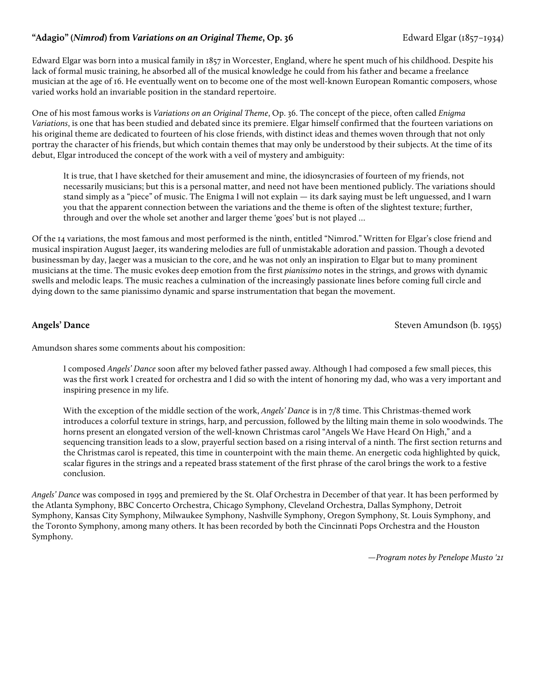## **"Adagio" (***Nimrod***) from** *Variations on an Original Theme***, Op. 36** Edward Elgar (1857–1934)Edward Elgar (1857-1934)

Edward Elgar was born into a musical family in 1857 in Worcester, England, where he spent much of his childhood. Despite his lack of formal music training, he absorbed all of the musical knowledge he could from his father and became a freelance musician at the age of 16. He eventually went on to become one of the most well-known European Romantic composers, whose varied works hold an invariable position in the standard repertoire.

One of his most famous works is *Variations on an Original Theme*, Op. 36. The concept of the piece, often called *Enigma Variations*, is one that has been studied and debated since its premiere. Elgar himself confirmed that the fourteen variations on his original theme are dedicated to fourteen of his close friends, with distinct ideas and themes woven through that not only portray the character of his friends, but which contain themes that may only be understood by their subjects. At the time of its debut, Elgar introduced the concept of the work with a veil of mystery and ambiguity:

It is true, that I have sketched for their amusement and mine, the idiosyncrasies of fourteen of my friends, not necessarily musicians; but this is a personal matter, and need not have been mentioned publicly. The variations should stand simply as a "piece" of music. The Enigma I will not explain *—* its dark saying must be left unguessed, and I warn you that the apparent connection between the variations and the theme is often of the slightest texture; further, through and over the whole set another and larger theme 'goes' but is not played …

Of the 14 variations, the most famous and most performed is the ninth, entitled "Nimrod." Written for Elgar's close friend and musical inspiration August Jaeger, its wandering melodies are full of unmistakable adoration and passion. Though a devoted businessman by day, Jaeger was a musician to the core, and he was not only an inspiration to Elgar but to many prominent musicians at the time. The music evokes deep emotion from the first *pianissimo* notes in the strings, and grows with dynamic swells and melodic leaps. The music reaches a culmination of the increasingly passionate lines before coming full circle and dying down to the same pianissimo dynamic and sparse instrumentation that began the movement.

**Angels' Dance Steven Amundson (b. 1955)** Steven Amundson (b. 1955)

Amundson shares some comments about his composition:

I composed *Angels' Dance* soon after my beloved father passed away. Although I had composed a few small pieces, this was the first work I created for orchestra and I did so with the intent of honoring my dad, who was a very important and inspiring presence in my life.

With the exception of the middle section of the work, *Angels' Dance* is in 7/8 time. This Christmas-themed work introduces a colorful texture in strings, harp, and percussion, followed by the lilting main theme in solo woodwinds. The horns present an elongated version of the well-known Christmas carol "Angels We Have Heard On High," and a sequencing transition leads to a slow, prayerful section based on a rising interval of a ninth. The first section returns and the Christmas carol is repeated, this time in counterpoint with the main theme. An energetic coda highlighted by quick, scalar figures in the strings and a repeated brass statement of the first phrase of the carol brings the work to a festive conclusion.

*Angels' Dance* was composed in 1995 and premiered by the St. Olaf Orchestra in December of that year. It has been performed by the Atlanta Symphony, BBC Concerto Orchestra, Chicago Symphony, Cleveland Orchestra, Dallas Symphony, Detroit Symphony, Kansas City Symphony, Milwaukee Symphony, Nashville Symphony, Oregon Symphony, St. Louis Symphony, and the Toronto Symphony, among many others. It has been recorded by both the Cincinnati Pops Orchestra and the Houston Symphony.

*—Program notes by Penelope Musto '21*